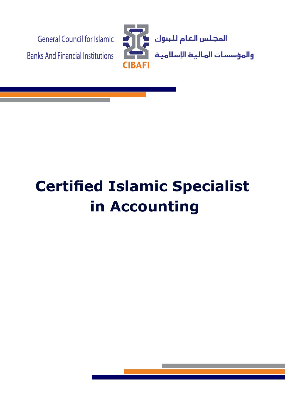

# **Certified Islamic Specialist Accounting in**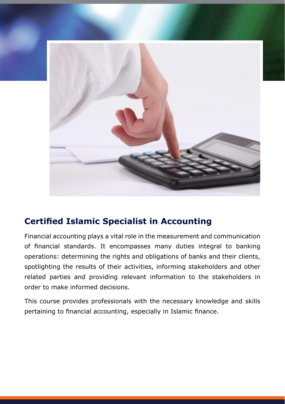

## **Certified Islamic Specialist in Accounting**

Financial accounting plays a vital role in the measurement and communication of financial standards. It encompasses many duties integral to banking operations: determining the rights and obligations of banks and their clients, spotlighting the results of their activities, informing stakeholders and other related parties and providing relevant information to the stakeholders in order to make informed decisions.

This course provides professionals with the necessary knowledge and skills pertaining to financial accounting, especially in Islamic finance.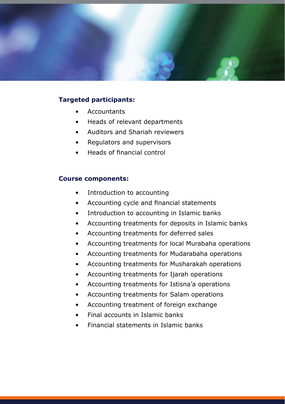

#### **Targeted participants:**

- Accountants•
- Heads of relevant departments
- Auditors and Shariah reviewers
- Regulators and supervisors
- Heads of financial control

#### **Course components:**

- Introduction to accounting
- Accounting cycle and financial statements
- Introduction to accounting in Islamic banks
- Accounting treatments for deposits in Islamic banks
- Accounting treatments for deferred sales
- Accounting treatments for local Murabaha operations
- Accounting treatments for Mudarabaha operations
- Accounting treatments for Musharakah operations
- Accounting treatments for Ijarah operations
- Accounting treatments for Istisna'a operations
- Accounting treatments for Salam operations
- Accounting treatment of foreign exchange
- $\bullet$  Final accounts in Islamic banks
- Financial statements in Islamic banks